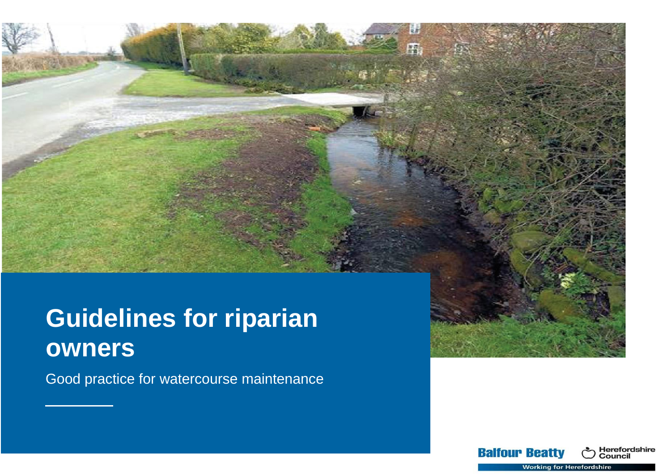# **Guidelines for riparian owners**

Good practice for watercourse maintenance

Herefordshire<br>Council

**Balfour Beatty** 

**Working for Herefordshire**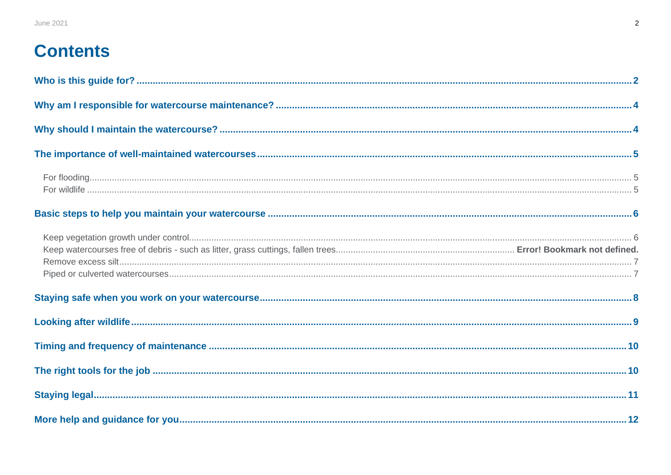# <span id="page-1-0"></span>**Contents**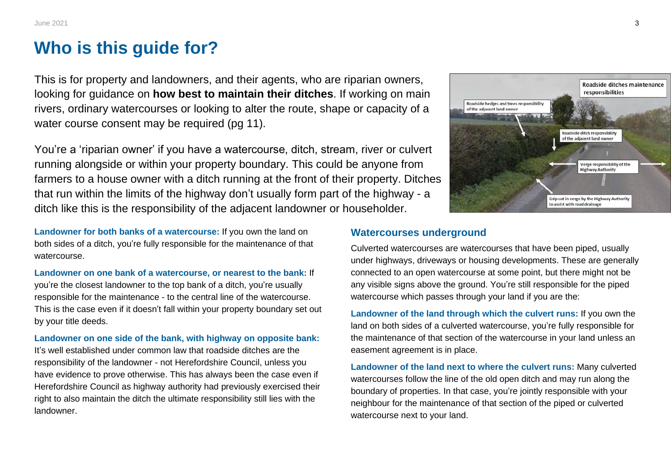# **Who is this guide for?**

This is for property and landowners, and their agents, who are riparian owners, looking for guidance on **how best to maintain their ditches**. If working on main rivers, ordinary watercourses or looking to alter the route, shape or capacity of a water course consent may be required (pg 11).

You're a 'riparian owner' if you have a watercourse, ditch, stream, river or culvert running alongside or within your property boundary. This could be anyone from farmers to a house owner with a ditch running at the front of their property. Ditches that run within the limits of the highway don't usually form part of the highway - a ditch like this is the responsibility of the adjacent landowner or householder.

**Landowner for both banks of a watercourse:** If you own the land on both sides of a ditch, you're fully responsible for the maintenance of that watercourse.

**Landowner on one bank of a watercourse, or nearest to the bank:** If you're the closest landowner to the top bank of a ditch, you're usually responsible for the maintenance - to the central line of the watercourse. This is the case even if it doesn't fall within your property boundary set out by your title deeds.

**Landowner on one side of the bank, with highway on opposite bank:** It's well established under common law that roadside ditches are the responsibility of the landowner - not Herefordshire Council, unless you have evidence to prove otherwise. This has always been the case even if Herefordshire Council as highway authority had previously exercised their right to also maintain the ditch the ultimate responsibility still lies with the landowner.



#### **Watercourses underground**

Culverted watercourses are watercourses that have been piped, usually under highways, driveways or housing developments. These are generally connected to an open watercourse at some point, but there might not be any visible signs above the ground. You're still responsible for the piped watercourse which passes through your land if you are the:

**Landowner of the land through which the culvert runs:** If you own the land on both sides of a culverted watercourse, you're fully responsible for the maintenance of that section of the watercourse in your land unless an easement agreement is in place.

**Landowner of the land next to where the culvert runs:** Many culverted watercourses follow the line of the old open ditch and may run along the boundary of properties. In that case, you're jointly responsible with your neighbour for the maintenance of that section of the piped or culverted watercourse next to your land.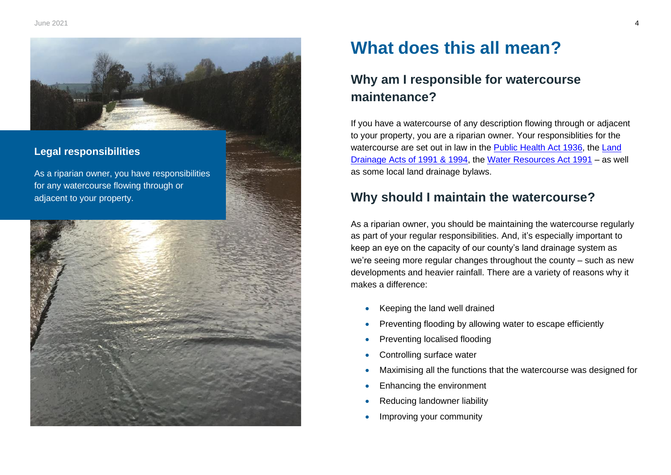

### **Legal responsibilities**

As a riparian owner, you have responsibilities for any watercourse flowing through or adjacent to your property.



# **What does this all mean?**

# <span id="page-3-0"></span>**Why am I responsible for watercourse maintenance?**

If you have a watercourse of any description flowing through or adjacent to your property, you are a riparian owner. Your responsiblities for the watercourse are set out in law in the **Public Health Act 1936**, the Land [Drainage Acts of 1991 & 1994,](https://www.legislation.gov.uk/ukpga/1991/59/contents) the [Water Resources Act 1991](https://www.legislation.gov.uk/ukpga/1991/57/contents) – as well as some local land drainage bylaws.  

# **Why should I maintain the watercourse?**

As a riparian owner, you should be maintaining the watercourse regularly as part of your regular responsibilities. And, it's especially important to keep an eye on the capacity of our county's land drainage system as we're seeing more regular changes throughout the county – such as new developments and heavier rainfall. There are a variety of reasons why it makes a difference:  

- Keeping the land well drained
- Preventing flooding by allowing water to escape efficiently
- Preventing localised flooding
- Controlling surface water
- Maximising all the functions that the watercourse was designed for
- Enhancing the environment
- Reducing landowner liability
- Improving your community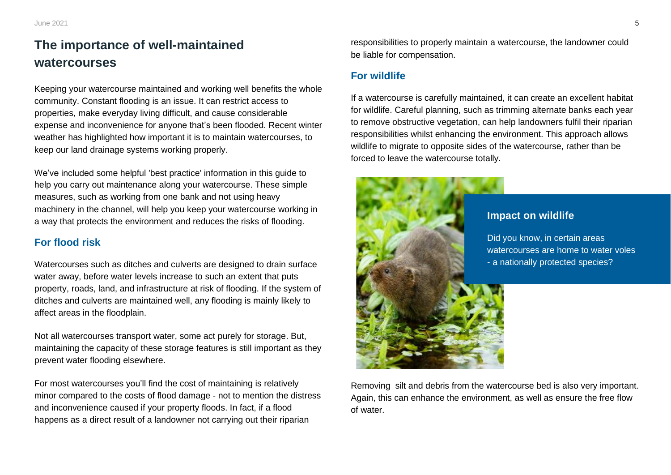# **The importance of well-maintained watercourses**

Keeping your watercourse maintained and working well benefits the whole community. Constant flooding is an issue. It can restrict access to properties, make everyday living difficult, and cause considerable expense and inconvenience for anyone that's been flooded. Recent winter weather has highlighted how important it is to maintain watercourses, to keep our land drainage systems working properly.

We've included some helpful 'best practice' information in this guide to help you carry out maintenance along your watercourse. These simple measures, such as working from one bank and not using heavy machinery in the channel, will help you keep your watercourse working in a way that protects the environment and reduces the risks of flooding.

#### **For flood risk**

Watercourses such as ditches and culverts are designed to drain surface water away, before water levels increase to such an extent that puts property, roads, land, and infrastructure at risk of flooding. If the system of ditches and culverts are maintained well, any flooding is mainly likely to affect areas in the floodplain.

Not all watercourses transport water, some act purely for storage. But, maintaining the capacity of these storage features is still important as they prevent water flooding elsewhere.

For most watercourses you'll find the cost of maintaining is relatively minor compared to the costs of flood damage - not to mention the distress and inconvenience caused if your property floods. In fact, if a flood happens as a direct result of a landowner not carrying out their riparian

responsibilities to properly maintain a watercourse, the landowner could be liable for compensation.

#### **For wildlife**

If a watercourse is carefully maintained, it can create an excellent habitat for wildlife. Careful planning, such as trimming alternate banks each year to remove obstructive vegetation, can help landowners fulfil their riparian responsibilities whilst enhancing the environment. This approach allows wildlife to migrate to opposite sides of the watercourse, rather than be forced to leave the watercourse totally.



Removing silt and debris from the watercourse bed is also very important. Again, this can enhance the environment, as well as ensure the free flow of water.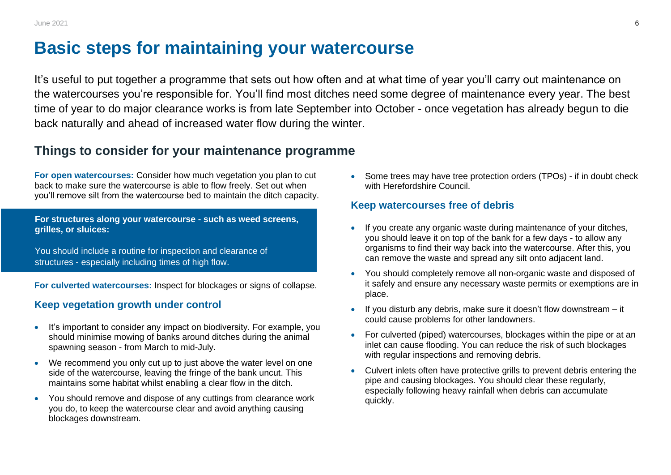June 2021 **6** 

# **Basic steps for maintaining your watercourse**

It's useful to put together a programme that sets out how often and at what time of year you'll carry out maintenance on the watercourses you're responsible for. You'll find most ditches need some degree of maintenance every year. The best time of year to do major clearance works is from late September into October - once vegetation has already begun to die back naturally and ahead of increased water flow during the winter.

## **Things to consider for your maintenance programme**

**For open watercourses:** Consider how much vegetation you plan to cut back to make sure the watercourse is able to flow freely. Set out when you'll remove silt from the watercourse bed to maintain the ditch capacity.

**For structures along your watercourse - such as weed screens, grilles, or sluices:**

You should include a routine for inspection and clearance of structures - especially including times of high flow.

**For culverted watercourses:** Inspect for blockages or signs of collapse.

#### **Keep vegetation growth under control**

- It's important to consider any impact on biodiversity. For example, you should minimise mowing of banks around ditches during the animal spawning season - from March to mid-July.
- We recommend you only cut up to just above the water level on one side of the watercourse, leaving the fringe of the bank uncut. This maintains some habitat whilst enabling a clear flow in the ditch.
- You should remove and dispose of any cuttings from clearance work you do, to keep the watercourse clear and avoid anything causing blockages downstream.

• Some trees may have tree protection orders (TPOs) - if in doubt check with Herefordshire Council

#### **Keep watercourses free of debris**

- If you create any organic waste during maintenance of your ditches, you should leave it on top of the bank for a few days - to allow any organisms to find their way back into the watercourse. After this, you can remove the waste and spread any silt onto adjacent land.
- You should completely remove all non-organic waste and disposed of it safely and ensure any necessary waste permits or exemptions are in place.
- If you disturb any debris, make sure it doesn't flow downstream it could cause problems for other landowners.
- For culverted (piped) watercourses, blockages within the pipe or at an inlet can cause flooding. You can reduce the risk of such blockages with regular inspections and removing debris.
- Culvert inlets often have protective grills to prevent debris entering the pipe and causing blockages. You should clear these regularly, especially following heavy rainfall when debris can accumulate quickly.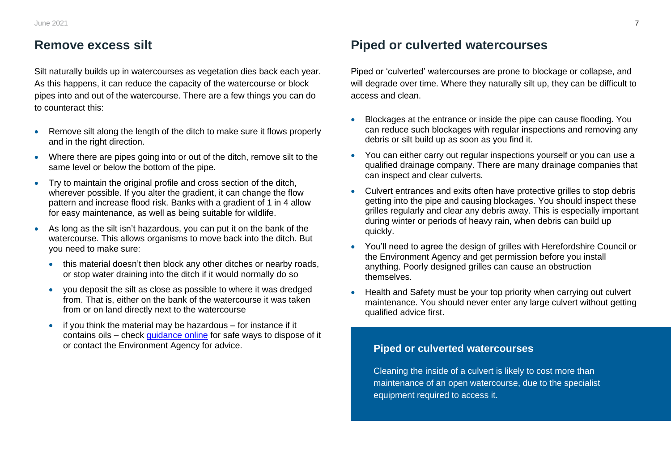## **Remove excess silt**

Silt naturally builds up in watercourses as vegetation dies back each year. As this happens, it can reduce the capacity of the watercourse or block pipes into and out of the watercourse. There are a few things you can do to counteract this:

- Remove silt along the length of the ditch to make sure it flows properly and in the right direction.
- Where there are pipes going into or out of the ditch, remove silt to the same level or below the bottom of the pipe.
- Try to maintain the original profile and cross section of the ditch, wherever possible. If you alter the gradient, it can change the flow pattern and increase flood risk. Banks with a gradient of 1 in 4 allow for easy maintenance, as well as being suitable for wildlife.
- As long as the silt isn't hazardous, you can put it on the bank of the watercourse. This allows organisms to move back into the ditch. But you need to make sure:
	- this material doesn't then block any other ditches or nearby roads, or stop water draining into the ditch if it would normally do so
	- you deposit the silt as close as possible to where it was dredged from. That is, either on the bank of the watercourse it was taken from or on land directly next to the watercourse
	- if you think the material may be hazardous for instance if it contains oils – check [guidance online](https://www.gov.uk/waste-exemptions-disposing-of-waste) for safe ways to dispose of it or contact the Environment Agency for advice.

## **Piped or culverted watercourses**

Piped or 'culverted' watercourses are prone to blockage or collapse, and will degrade over time. Where they naturally silt up, they can be difficult to access and clean.

- Blockages at the entrance or inside the pipe can cause flooding. You can reduce such blockages with regular inspections and removing any debris or silt build up as soon as you find it.
- You can either carry out regular inspections yourself or you can use a qualified drainage company. There are many drainage companies that can inspect and clear culverts.
- Culvert entrances and exits often have protective grilles to stop debris getting into the pipe and causing blockages. You should inspect these grilles regularly and clear any debris away. This is especially important during winter or periods of heavy rain, when debris can build up quickly.
- You'll need to agree the design of grilles with Herefordshire Council or the Environment Agency and get permission before you install anything. Poorly designed grilles can cause an obstruction themselves.
- Health and Safety must be your top priority when carrying out culvert maintenance. You should never enter any large culvert without getting qualified advice first.

### **Piped or culverted watercourses**

Cleaning the inside of a culvert is likely to cost more than maintenance of an open watercourse, due to the specialist equipment required to access it.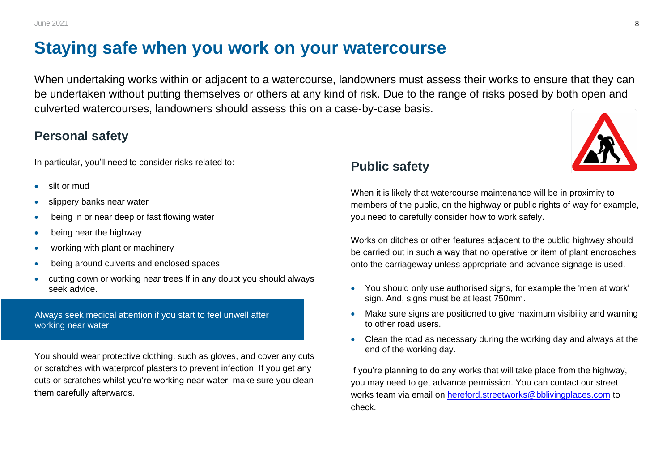# **Staying safe when you work on your watercourse**

When undertaking works within or adjacent to a watercourse, landowners must assess their works to ensure that they can be undertaken without putting themselves or others at any kind of risk. Due to the range of risks posed by both open and culverted watercourses, landowners should assess this on a case-by-case basis.

# **Personal safety**

In particular, you'll need to consider risks related to:

- silt or mud
- slippery banks near water
- being in or near deep or fast flowing water
- being near the highway
- working with plant or machinery
- being around culverts and enclosed spaces
- cutting down or working near trees If in any doubt you should always seek advice.

Always seek medical attention if you start to feel unwell after working near water.

You should wear protective clothing, such as gloves, and cover any cuts or scratches with waterproof plasters to prevent infection. If you get any cuts or scratches whilst you're working near water, make sure you clean them carefully afterwards.

# **Public safety**

When it is likely that watercourse maintenance will be in proximity to members of the public, on the highway or public rights of way for example, you need to carefully consider how to work safely.

Works on ditches or other features adjacent to the public highway should be carried out in such a way that no operative or item of plant encroaches onto the carriageway unless appropriate and advance signage is used.

- You should only use authorised signs, for example the 'men at work' sign. And, signs must be at least 750mm.
- Make sure signs are positioned to give maximum visibility and warning to other road users.
- Clean the road as necessary during the working day and always at the end of the working day.

If you're planning to do any works that will take place from the highway, you may need to get advance permission. You can contact our street works team via email on [hereford.streetworks@bblivingplaces.com](mailto:hereford.streetworks@bblivingplaces.com) to check.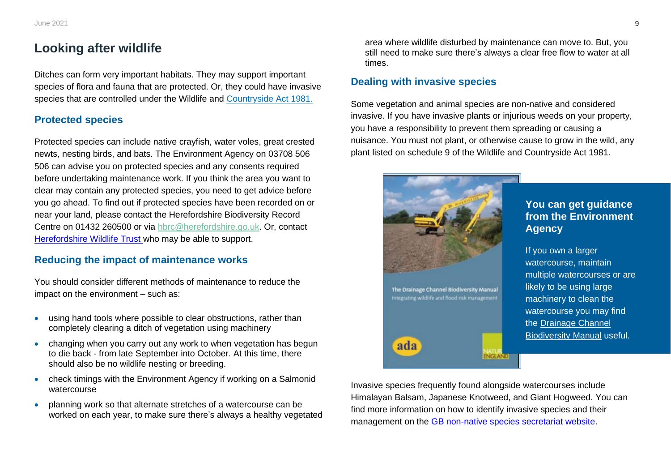## **Looking after wildlife**

Ditches can form very important habitats. They may support important species of flora and fauna that are protected. Or, they could have invasive species that are controlled under the Wildlife and [Countryside Act 1981.](https://www.legislation.gov.uk/ukpga/1981/69/contents)

#### **Protected species**

Protected species can include native crayfish, water voles, great crested newts, nesting birds, and bats. The Environment Agency on 03708 506 506 can advise you on protected species and any consents required before undertaking maintenance work. If you think the area you want to clear may contain any protected species, you need to get advice before you go ahead. To find out if protected species have been recorded on or near your land, please contact the Herefordshire Biodiversity Record Centre on 01432 260500 or via [hbrc@herefordshire.go.uk.](mailto:hbrc@herefordshire.go.uk) Or, contact [Herefordshire Wildlife Trust](https://www.herefordshirewt.org/) who may be able to support.

#### **Reducing the impact of maintenance works**

You should consider different methods of maintenance to reduce the impact on the environment – such as:

- using hand tools where possible to clear obstructions, rather than completely clearing a ditch of vegetation using machinery
- changing when you carry out any work to when vegetation has begun to die back - from late September into October. At this time, there should also be no wildlife nesting or breeding.
- check timings with the Environment Agency if working on a Salmonid watercourse
- planning work so that alternate stretches of a watercourse can be worked on each year, to make sure there's always a healthy vegetated

area where wildlife disturbed by maintenance can move to. But, you still need to make sure there's always a clear free flow to water at all times.

#### **Dealing with invasive species**

Some vegetation and animal species are non-native and considered invasive. If you have invasive plants or injurious weeds on your property, you have a responsibility to prevent them spreading or causing a nuisance. You must not plant, or otherwise cause to grow in the wild, any plant listed on schedule 9 of the Wildlife and Countryside Act 1981.



#### **You can get guidance from the Environment Agency**

If you own a larger watercourse, maintain multiple watercourses or are likely to be using large machinery to clean the watercourse you may find the [Drainage Channel](https://webarchive.nationalarchives.gov.uk/20150902174754/http:/publications.naturalengland.org.uk/publication/50004)  [Biodiversity Manual](https://webarchive.nationalarchives.gov.uk/20150902174754/http:/publications.naturalengland.org.uk/publication/50004) useful.

Invasive species frequently found alongside watercourses include Himalayan Balsam, Japanese Knotweed, and Giant Hogweed. You can find more information on how to identify invasive species and their management on the [GB non-native species secretariat website.](http://www.nonnativespecies.org/)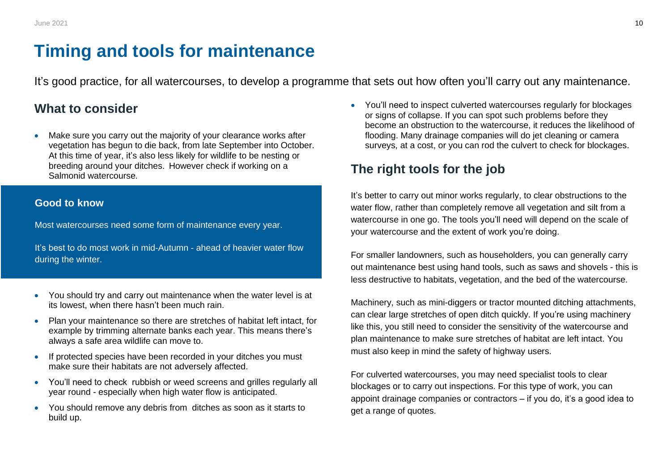# **Timing and tools for maintenance**

It's good practice, for all watercourses, to develop a programme that sets out how often you'll carry out any maintenance.

## **What to consider**

Make sure you carry out the majority of your clearance works after vegetation has begun to die back, from late September into October. At this time of year, it's also less likely for wildlife to be nesting or breeding around your ditches.  However check if working on a Salmonid watercourse.

#### **Good to know**

Most watercourses need some form of maintenance every year.

It's best to do most work in mid-Autumn - ahead of heavier water flow during the winter.

- You should try and carry out maintenance when the water level is at its lowest, when there hasn't been much rain.
- Plan your maintenance so there are stretches of habitat left intact, for example by trimming alternate banks each year. This means there's always a safe area wildlife can move to.
- If protected species have been recorded in your ditches you must make sure their habitats are not adversely affected.
- You'll need to check rubbish or weed screens and grilles regularly all year round - especially when high water flow is anticipated.
- You should remove any debris from ditches as soon as it starts to build up.

• You'll need to inspect culverted watercourses regularly for blockages or signs of collapse. If you can spot such problems before they become an obstruction to the watercourse, it reduces the likelihood of flooding. Many drainage companies will do jet cleaning or camera surveys, at a cost, or you can rod the culvert to check for blockages.

# **The right tools for the job**

It's better to carry out minor works regularly, to clear obstructions to the water flow, rather than completely remove all vegetation and silt from a watercourse in one go. The tools you'll need will depend on the scale of your watercourse and the extent of work you're doing.

For smaller landowners, such as householders, you can generally carry out maintenance best using hand tools, such as saws and shovels - this is less destructive to habitats, vegetation, and the bed of the watercourse.

Machinery, such as mini-diggers or tractor mounted ditching attachments, can clear large stretches of open ditch quickly. If you're using machinery like this, you still need to consider the sensitivity of the watercourse and plan maintenance to make sure stretches of habitat are left intact. You must also keep in mind the safety of highway users.

For culverted watercourses, you may need specialist tools to clear blockages or to carry out inspections. For this type of work, you can appoint drainage companies or contractors – if you do, it's a good idea to get a range of quotes.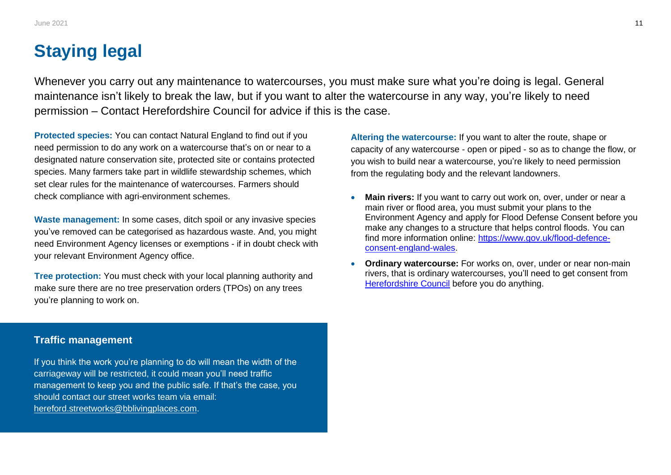# **Staying legal**

Whenever you carry out any maintenance to watercourses, you must make sure what you're doing is legal. General maintenance isn't likely to break the law, but if you want to alter the watercourse in any way, you're likely to need permission – Contact Herefordshire Council for advice if this is the case.

**Protected species:** You can contact Natural England to find out if you need permission to do any work on a watercourse that's on or near to a designated nature conservation site, protected site or contains protected species. Many farmers take part in wildlife stewardship schemes, which set clear rules for the maintenance of watercourses. Farmers should check compliance with agri-environment schemes.

**Waste management:** In some cases, ditch spoil or any invasive species you've removed can be categorised as hazardous waste. And, you might need Environment Agency licenses or exemptions - if in doubt check with your relevant Environment Agency office.

**Tree protection:** You must check with your local planning authority and make sure there are no tree preservation orders (TPOs) on any trees you're planning to work on.

**Traffic management**

If you think the work you're planning to do will mean the width of the carriageway will be restricted, it could mean you'll need traffic management to keep you and the public safe. If that's the case, you should contact our street works team via email: [hereford.streetworks@bblivingplaces.com.](mailto:hereford.streetworks@bblivingplaces.com)

**Altering the watercourse:** If you want to alter the route, shape or capacity of any watercourse - open or piped - so as to change the flow, or you wish to build near a watercourse, you're likely to need permission from the regulating body and the relevant landowners.

- **Main rivers:** If you want to carry out work on, over, under or near a main river or flood area, you must submit your plans to the Environment Agency and apply for Flood Defense Consent before you make any changes to a structure that helps control floods. You can find more information online: [https://www.gov.uk/flood-defence](https://www.gov.uk/flood-defence-consent-england-wales)[consent-england-wales.](https://www.gov.uk/flood-defence-consent-england-wales)
- **Ordinary watercourse:** For works on, over, under or near non-main rivers, that is ordinary watercourses, you'll need to get consent from [Herefordshire Council](https://www.herefordshire.gov.uk/downloads/file/2907/application_for_ordinary_watercourse_flood_defence_consent) before you do anything.